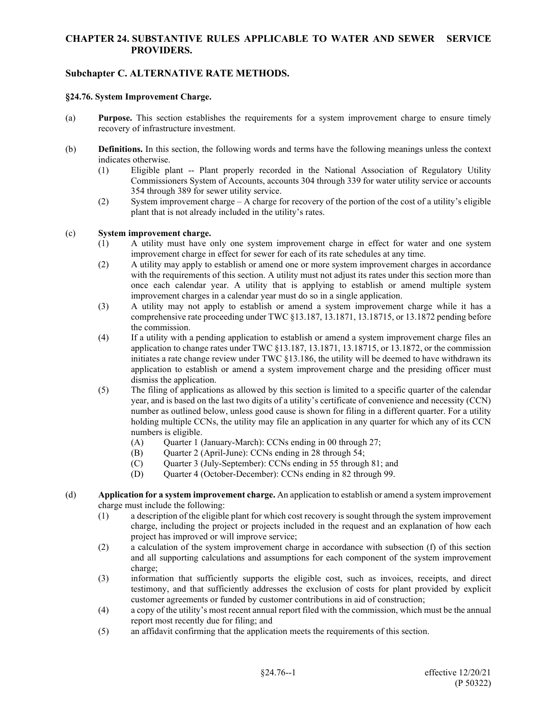## **CHAPTER 24. SUBSTANTIVE RULES APPLICABLE TO WATER AND SEWER SERVICE PROVIDERS.**

## **Subchapter C. ALTERNATIVE RATE METHODS.**

## **§24.76. System Improvement Charge.**

- (a) **Purpose.** This section establishes the requirements for a system improvement charge to ensure timely recovery of infrastructure investment.
- (b) **Definitions.** In this section, the following words and terms have the following meanings unless the context indicates otherwise.
	- (1) Eligible plant -- Plant properly recorded in the National Association of Regulatory Utility Commissioners System of Accounts, accounts 304 through 339 for water utility service or accounts 354 through 389 for sewer utility service.
	- (2) System improvement charge A charge for recovery of the portion of the cost of a utility's eligible plant that is not already included in the utility's rates.

## (c) **System improvement charge.**

- (1) A utility must have only one system improvement charge in effect for water and one system improvement charge in effect for sewer for each of its rate schedules at any time.
- (2) A utility may apply to establish or amend one or more system improvement charges in accordance with the requirements of this section. A utility must not adjust its rates under this section more than once each calendar year. A utility that is applying to establish or amend multiple system improvement charges in a calendar year must do so in a single application.
- (3) A utility may not apply to establish or amend a system improvement charge while it has a comprehensive rate proceeding under TWC §13.187, 13.1871, 13.18715, or 13.1872 pending before the commission.
- (4) If a utility with a pending application to establish or amend a system improvement charge files an application to change rates under TWC §13.187, 13.1871, 13.18715, or 13.1872, or the commission initiates a rate change review under TWC  $\S$ 13.186, the utility will be deemed to have withdrawn its application to establish or amend a system improvement charge and the presiding officer must dismiss the application.
- (5) The filing of applications as allowed by this section is limited to a specific quarter of the calendar year, and is based on the last two digits of a utility's certificate of convenience and necessity (CCN) number as outlined below, unless good cause is shown for filing in a different quarter. For a utility holding multiple CCNs, the utility may file an application in any quarter for which any of its CCN numbers is eligible.
	- (A) Ouarter 1 (January-March): CCNs ending in 00 through  $27$ ;
	- (B) Quarter 2 (April-June): CCNs ending in 28 through 54;
	- (C) Quarter 3 (July-September): CCNs ending in 55 through 81; and
	- (D) Quarter 4 (October-December): CCNs ending in 82 through 99.
- (d) **Application for a system improvement charge.** An application to establish or amend a system improvement charge must include the following:
	- (1) a description of the eligible plant for which cost recovery is sought through the system improvement charge, including the project or projects included in the request and an explanation of how each project has improved or will improve service;
	- (2) a calculation of the system improvement charge in accordance with subsection (f) of this section and all supporting calculations and assumptions for each component of the system improvement charge;
	- (3) information that sufficiently supports the eligible cost, such as invoices, receipts, and direct testimony, and that sufficiently addresses the exclusion of costs for plant provided by explicit customer agreements or funded by customer contributions in aid of construction;
	- (4) a copy of the utility's most recent annual report filed with the commission, which must be the annual report most recently due for filing; and
	- (5) an affidavit confirming that the application meets the requirements of this section.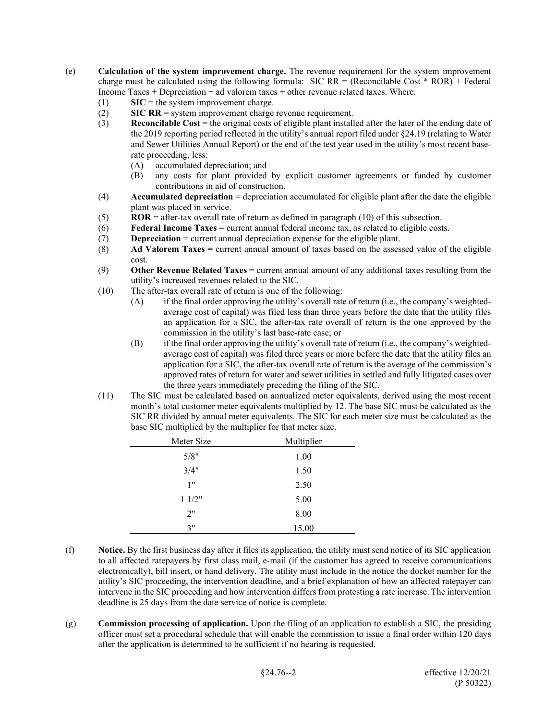- (e) **Calculation of the system improvement charge.** The revenue requirement for the system improvement charge must be calculated using the following formula: SIC RR = (Reconcilable Cost  $*$  ROR) + Federal Income Taxes + Depreciation + ad valorem taxes + other revenue related taxes. Where:
	- $(1)$  **SIC** = the system improvement charge.
	- (2) **SIC RR** = system improvement charge revenue requirement.
	- (3) **Reconcilable Cost** = the original costs of eligible plant installed after the later of the ending date of the 2019 reporting period reflected in the utility's annual report filed under §24.19 (relating to Water and Sewer Utilities Annual Report) or the end of the test year used in the utility's most recent baserate proceeding, less:
		- (A) accumulated depreciation; and
		- (B) any costs for plant provided by explicit customer agreements or funded by customer contributions in aid of construction.
	- (4) **Accumulated depreciation** = depreciation accumulated for eligible plant after the date the eligible plant was placed in service.
	- (5) **ROR** = after-tax overall rate of return as defined in paragraph (10) of this subsection.
	- (6) **Federal Income Taxes** = current annual federal income tax, as related to eligible costs.
	- (7) **Depreciation** = current annual depreciation expense for the eligible plant.
	- (8) **Ad Valorem Taxes =** current annual amount of taxes based on the assessed value of the eligible cost.
	- (9) **Other Revenue Related Taxes** = current annual amount of any additional taxes resulting from the utility's increased revenues related to the SIC.
	- (10) The after-tax overall rate of return is one of the following:
		- (A) if the final order approving the utility's overall rate of return (i.e., the company's weightedaverage cost of capital) was filed less than three years before the date that the utility files an application for a SIC, the after-tax rate overall of return is the one approved by the commission in the utility's last base-rate case; or
		- (B) if the final order approving the utility's overall rate of return (i.e., the company's weightedaverage cost of capital) was filed three years or more before the date that the utility files an application for a SIC, the after-tax overall rate of return is the average of the commission's approved rates of return for water and sewer utilities in settled and fully litigated cases over the three years immediately preceding the filing of the SIC.
	- (11) The SIC must be calculated based on annualized meter equivalents, derived using the most recent month's total customer meter equivalents multiplied by 12. The base SIC must be calculated as the SIC RR divided by annual meter equivalents. The SIC for each meter size must be calculated as the base SIC multiplied by the multiplier for that meter size.

| Meter Size | Multiplier |
|------------|------------|
| 5/8"       | 1.00       |
| 3/4"       | 1.50       |
| 1"         | 2.50       |
| 11/2"      | 5.00       |
| 2"         | 8.00       |
| 3"         | 15.00      |

- (f) **Notice.** By the first business day after it files its application, the utility must send notice of its SIC application to all affected ratepayers by first class mail, e-mail (if the customer has agreed to receive communications electronically), bill insert, or hand delivery. The utility must include in the notice the docket number for the utility's SIC proceeding, the intervention deadline, and a brief explanation of how an affected ratepayer can intervene in the SIC proceeding and how intervention differs from protesting a rate increase. The intervention deadline is 25 days from the date service of notice is complete.
- (g) **Commission processing of application.** Upon the filing of an application to establish a SIC, the presiding officer must set a procedural schedule that will enable the commission to issue a final order within 120 days after the application is determined to be sufficient if no hearing is requested.